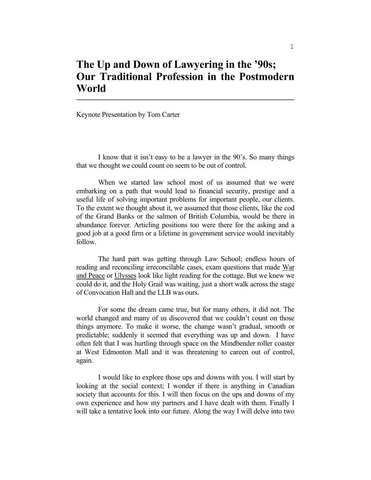## **The Up and Down of Lawyering in the '90s; Our Traditional Profession in the Postmodern World**

Keynote Presentation by Tom Carter

 I know that it isn't easy to be a lawyer in the 90's. So many things that we thought we could count on seem to be out of control.

 When we started law school most of us assumed that we were embarking on a path that would lead to financial security, prestige and a useful life of solving important problems for important people, our clients. To the extent we thought about it, we assumed that those clients, like the cod of the Grand Banks or the salmon of British Columbia, would be there in abundance forever. Articling positions too were there for the asking and a good job at a good firm or a lifetime in government service would inevitably follow.

 The hard part was getting through Law School; endless hours of reading and reconciling irreconcilable cases, exam questions that made War and Peace or Ulysses look like light reading for the cottage. But we knew we could do it, and the Holy Grail was waiting, just a short walk across the stage of Convocation Hall and the LLB was ours.

 For some the dream came true, but for many others, it did not. The world changed and many of us discovered that we couldn't count on those things anymore. To make it worse, the change wasn't gradual, smooth or predictable; suddenly it seemed that everything was up and down. I have often felt that I was hurtling through space on the Mindbender roller coaster at West Edmonton Mall and it was threatening to careen out of control, again.

 I would like to explore those ups and downs with you. I will start by looking at the social context; I wonder if there is anything in Canadian society that accounts for this. I will then focus on the ups and downs of my own experience and how my partners and I have dealt with them. Finally I will take a tentative look into our future. Along the way I will delve into two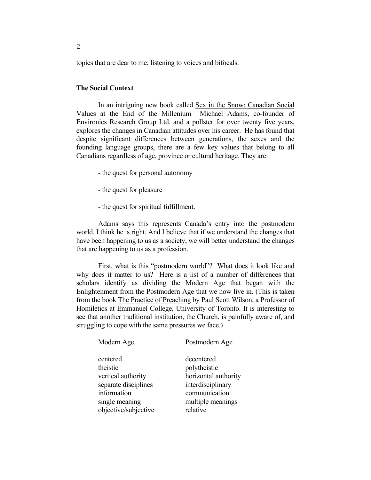topics that are dear to me; listening to voices and bifocals.

## **The Social Context**

 In an intriguing new book called Sex in the Snow; Canadian Social Values at the End of the Millenium Michael Adams, co-founder of Environics Research Group Ltd. and a pollster for over twenty five years, explores the changes in Canadian attitudes over his career. He has found that despite significant differences between generations, the sexes and the founding language groups, there are a few key values that belong to all Canadians regardless of age, province or cultural heritage. They are:

- the quest for personal autonomy
- the quest for pleasure
- the quest for spiritual fulfillment.

 Adams says this represents Canada's entry into the postmodern world. I think he is right. And I believe that if we understand the changes that have been happening to us as a society, we will better understand the changes that are happening to us as a profession.

 First, what is this "postmodern world"? What does it look like and why does it matter to us? Here is a list of a number of differences that scholars identify as dividing the Modern Age that began with the Enlightenment from the Postmodern Age that we now live in. (This is taken from the book The Practice of Preaching by Paul Scott Wilson, a Professor of Homiletics at Emmanuel College, University of Toronto. It is interesting to see that another traditional institution, the Church, is painfully aware of, and struggling to cope with the same pressures we face.)

| Modern Age                                                                                          | Postmodern Age                                                                                                |
|-----------------------------------------------------------------------------------------------------|---------------------------------------------------------------------------------------------------------------|
| centered<br>theistic<br>vertical authority<br>separate disciplines<br>information<br>single meaning | decentered<br>polytheistic<br>horizontal authority<br>interdisciplinary<br>communication<br>multiple meanings |
| objective/subjective                                                                                | relative                                                                                                      |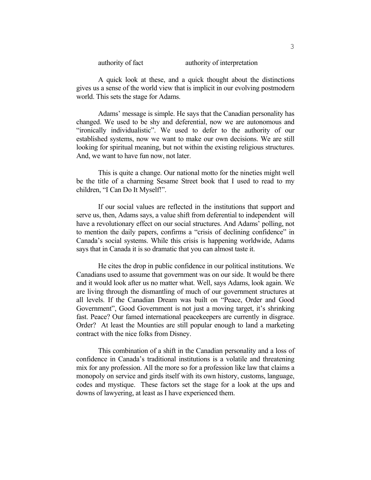authority of fact authority of interpretation

 A quick look at these, and a quick thought about the distinctions gives us a sense of the world view that is implicit in our evolving postmodern world. This sets the stage for Adams.

 Adams' message is simple. He says that the Canadian personality has changed. We used to be shy and deferential, now we are autonomous and "ironically individualistic". We used to defer to the authority of our established systems, now we want to make our own decisions. We are still looking for spiritual meaning, but not within the existing religious structures. And, we want to have fun now, not later.

 This is quite a change. Our national motto for the nineties might well be the title of a charming Sesame Street book that I used to read to my children, "I Can Do It Myself!".

 If our social values are reflected in the institutions that support and serve us, then, Adams says, a value shift from deferential to independent will have a revolutionary effect on our social structures. And Adams' polling, not to mention the daily papers, confirms a "crisis of declining confidence" in Canada's social systems. While this crisis is happening worldwide, Adams says that in Canada it is so dramatic that you can almost taste it.

 He cites the drop in public confidence in our political institutions. We Canadians used to assume that government was on our side. It would be there and it would look after us no matter what. Well, says Adams, look again. We are living through the dismantling of much of our government structures at all levels. If the Canadian Dream was built on "Peace, Order and Good Government", Good Government is not just a moving target, it's shrinking fast. Peace? Our famed international peacekeepers are currently in disgrace. Order? At least the Mounties are still popular enough to land a marketing contract with the nice folks from Disney.

 This combination of a shift in the Canadian personality and a loss of confidence in Canada's traditional institutions is a volatile and threatening mix for any profession. All the more so for a profession like law that claims a monopoly on service and girds itself with its own history, customs, language, codes and mystique. These factors set the stage for a look at the ups and downs of lawyering, at least as I have experienced them.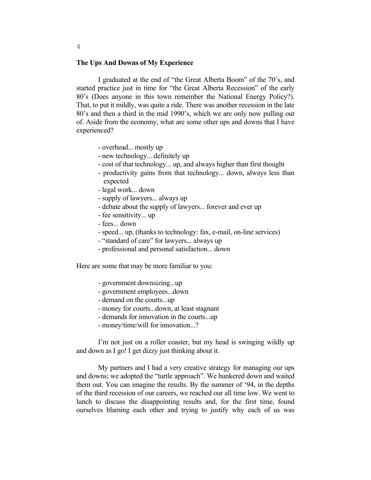## **The Ups And Downs of My Experience**

 I graduated at the end of "the Great Alberta Boom" of the 70's, and started practice just in time for "the Great Alberta Recession" of the early 80's (Does anyone in this town remember the National Energy Policy?). That, to put it mildly, was quite a ride. There was another recession in the late 80's and then a third in the mid 1990's, which we are only now pulling out of. Aside from the economy, what are some other ups and downs that I have experienced?

- overhead... mostly up
- new technology... definitely up
- cost of that technology... up, and always higher than first thought
- productivity gains from that technology... down, always less than expected
- legal work... down
- supply of lawyers... always up
- debate about the supply of lawyers... forever and ever up
- fee sensitivity... up
- fees... down
- speed... up, (thanks to technology: fax, e-mail, on-line services)
- "standard of care" for lawyers... always up
- professional and personal satisfaction... down

Here are some that may be more familiar to you:

- government downsizing...up
- government employees...down
- demand on the courts...up
- money for courts...down, at least stagnant
- demands for innovation in the courts...up
- money/time/will for innovation...?

 I'm not just on a roller coaster, but my head is swinging wildly up and down as I go! I get dizzy just thinking about it.

 My partners and I had a very creative strategy for managing our ups and downs; we adopted the "turtle approach". We hunkered down and waited them out. You can imagine the results. By the summer of '94, in the depths of the third recession of our careers, we reached our all time low. We went to lunch to discuss the disappointing results and, for the first time, found ourselves blaming each other and trying to justify why each of us was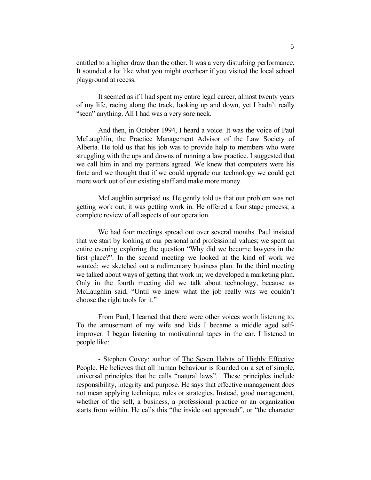entitled to a higher draw than the other. It was a very disturbing performance. It sounded a lot like what you might overhear if you visited the local school playground at recess.

 It seemed as if I had spent my entire legal career, almost twenty years of my life, racing along the track, looking up and down, yet I hadn't really "seen" anything. All I had was a very sore neck.

 And then, in October 1994, I heard a voice. It was the voice of Paul McLaughlin, the Practice Management Advisor of the Law Society of Alberta. He told us that his job was to provide help to members who were struggling with the ups and downs of running a law practice. I suggested that we call him in and my partners agreed. We knew that computers were his forte and we thought that if we could upgrade our technology we could get more work out of our existing staff and make more money.

 McLaughlin surprised us. He gently told us that our problem was not getting work out, it was getting work in. He offered a four stage process; a complete review of all aspects of our operation.

 We had four meetings spread out over several months. Paul insisted that we start by looking at our personal and professional values; we spent an entire evening exploring the question "Why did we become lawyers in the first place?". In the second meeting we looked at the kind of work we wanted; we sketched out a rudimentary business plan. In the third meeting we talked about ways of getting that work in; we developed a marketing plan. Only in the fourth meeting did we talk about technology, because as McLaughlin said, "Until we knew what the job really was we couldn't choose the right tools for it."

 From Paul, I learned that there were other voices worth listening to. To the amusement of my wife and kids I became a middle aged selfimprover. I began listening to motivational tapes in the car. I listened to people like:

 - Stephen Covey: author of The Seven Habits of Highly Effective People. He believes that all human behaviour is founded on a set of simple, universal principles that he calls "natural laws". These principles include responsibility, integrity and purpose. He says that effective management does not mean applying technique, rules or strategies. Instead, good management, whether of the self, a business, a professional practice or an organization starts from within. He calls this "the inside out approach", or "the character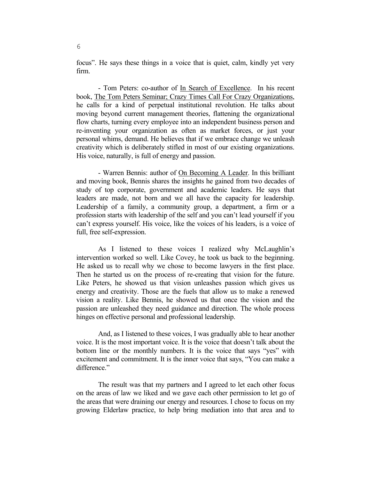focus". He says these things in a voice that is quiet, calm, kindly yet very firm.

- Tom Peters: co-author of In Search of Excellence. In his recent book, The Tom Peters Seminar; Crazy Times Call For Crazy Organizations, he calls for a kind of perpetual institutional revolution. He talks about moving beyond current management theories, flattening the organizational flow charts, turning every employee into an independent business person and re-inventing your organization as often as market forces, or just your personal whims, demand. He believes that if we embrace change we unleash creativity which is deliberately stifled in most of our existing organizations. His voice, naturally, is full of energy and passion.

 - Warren Bennis: author of On Becoming A Leader. In this brilliant and moving book, Bennis shares the insights he gained from two decades of study of top corporate, government and academic leaders. He says that leaders are made, not born and we all have the capacity for leadership. Leadership of a family, a community group, a department, a firm or a profession starts with leadership of the self and you can't lead yourself if you can't express yourself. His voice, like the voices of his leaders, is a voice of full, free self-expression.

 As I listened to these voices I realized why McLaughlin's intervention worked so well. Like Covey, he took us back to the beginning. He asked us to recall why we chose to become lawyers in the first place. Then he started us on the process of re-creating that vision for the future. Like Peters, he showed us that vision unleashes passion which gives us energy and creativity. Those are the fuels that allow us to make a renewed vision a reality. Like Bennis, he showed us that once the vision and the passion are unleashed they need guidance and direction. The whole process hinges on effective personal and professional leadership.

 And, as I listened to these voices, I was gradually able to hear another voice. It is the most important voice. It is the voice that doesn't talk about the bottom line or the monthly numbers. It is the voice that says "yes" with excitement and commitment. It is the inner voice that says, "You can make a difference."

 The result was that my partners and I agreed to let each other focus on the areas of law we liked and we gave each other permission to let go of the areas that were draining our energy and resources. I chose to focus on my growing Elderlaw practice, to help bring mediation into that area and to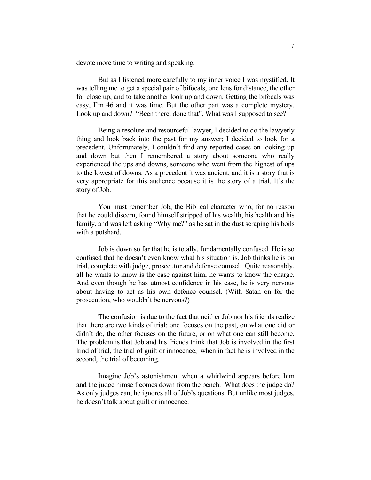devote more time to writing and speaking.

 But as I listened more carefully to my inner voice I was mystified. It was telling me to get a special pair of bifocals, one lens for distance, the other for close up, and to take another look up and down. Getting the bifocals was easy, I'm 46 and it was time. But the other part was a complete mystery. Look up and down? "Been there, done that". What was I supposed to see?

 Being a resolute and resourceful lawyer, I decided to do the lawyerly thing and look back into the past for my answer; I decided to look for a precedent. Unfortunately, I couldn't find any reported cases on looking up and down but then I remembered a story about someone who really experienced the ups and downs, someone who went from the highest of ups to the lowest of downs. As a precedent it was ancient, and it is a story that is very appropriate for this audience because it is the story of a trial. It's the story of Job.

 You must remember Job, the Biblical character who, for no reason that he could discern, found himself stripped of his wealth, his health and his family, and was left asking "Why me?" as he sat in the dust scraping his boils with a potshard.

 Job is down so far that he is totally, fundamentally confused. He is so confused that he doesn't even know what his situation is. Job thinks he is on trial, complete with judge, prosecutor and defense counsel. Quite reasonably, all he wants to know is the case against him; he wants to know the charge. And even though he has utmost confidence in his case, he is very nervous about having to act as his own defence counsel. (With Satan on for the prosecution, who wouldn't be nervous?)

 The confusion is due to the fact that neither Job nor his friends realize that there are two kinds of trial; one focuses on the past, on what one did or didn't do, the other focuses on the future, or on what one can still become. The problem is that Job and his friends think that Job is involved in the first kind of trial, the trial of guilt or innocence, when in fact he is involved in the second, the trial of becoming.

 Imagine Job's astonishment when a whirlwind appears before him and the judge himself comes down from the bench. What does the judge do? As only judges can, he ignores all of Job's questions. But unlike most judges, he doesn't talk about guilt or innocence.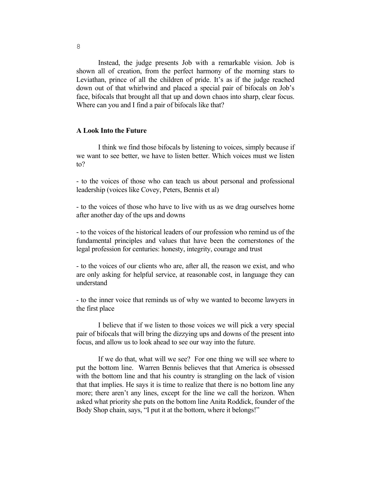Instead, the judge presents Job with a remarkable vision. Job is shown all of creation, from the perfect harmony of the morning stars to Leviathan, prince of all the children of pride. It's as if the judge reached down out of that whirlwind and placed a special pair of bifocals on Job's face, bifocals that brought all that up and down chaos into sharp, clear focus. Where can you and I find a pair of bifocals like that?

## **A Look Into the Future**

 I think we find those bifocals by listening to voices, simply because if we want to see better, we have to listen better. Which voices must we listen to?

- to the voices of those who can teach us about personal and professional leadership (voices like Covey, Peters, Bennis et al)

- to the voices of those who have to live with us as we drag ourselves home after another day of the ups and downs

- to the voices of the historical leaders of our profession who remind us of the fundamental principles and values that have been the cornerstones of the legal profession for centuries: honesty, integrity, courage and trust

- to the voices of our clients who are, after all, the reason we exist, and who are only asking for helpful service, at reasonable cost, in language they can understand

- to the inner voice that reminds us of why we wanted to become lawyers in the first place

 I believe that if we listen to those voices we will pick a very special pair of bifocals that will bring the dizzying ups and downs of the present into focus, and allow us to look ahead to see our way into the future.

 If we do that, what will we see? For one thing we will see where to put the bottom line. Warren Bennis believes that that America is obsessed with the bottom line and that his country is strangling on the lack of vision that that implies. He says it is time to realize that there is no bottom line any more; there aren't any lines, except for the line we call the horizon. When asked what priority she puts on the bottom line Anita Roddick, founder of the Body Shop chain, says, "I put it at the bottom, where it belongs!"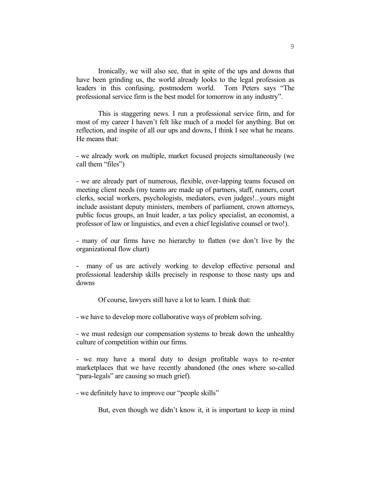Ironically, we will also see, that in spite of the ups and downs that have been grinding us, the world already looks to the legal profession as leaders in this confusing, postmodern world. Tom Peters says "The professional service firm is the best model for tomorrow in any industry".

 This is staggering news. I run a professional service firm, and for most of my career I haven't felt like much of a model for anything. But on reflection, and inspite of all our ups and downs, I think I see what he means. He means that:

- we already work on multiple, market focused projects simultaneously (we call them "files")

- we are already part of numerous, flexible, over-lapping teams focused on meeting client needs (my teams are made up of partners, staff, runners, court clerks, social workers, psychologists, mediators, even judges!...yours might include assistant deputy ministers, members of parliament, crown attorneys, public focus groups, an Inuit leader, a tax policy specialist, an economist, a professor of law or linguistics, and even a chief legislative counsel or two!).

- many of our firms have no hierarchy to flatten (we don't live by the organizational flow chart)

- many of us are actively working to develop effective personal and professional leadership skills precisely in response to those nasty ups and downs

Of course, lawyers still have a lot to learn. I think that:

- we have to develop more collaborative ways of problem solving.

- we must redesign our compensation systems to break down the unhealthy culture of competition within our firms.

- we may have a moral duty to design profitable ways to re-enter marketplaces that we have recently abandoned (the ones where so-called "para-legals" are causing so much grief).

- we definitely have to improve our "people skills"

But, even though we didn't know it, it is important to keep in mind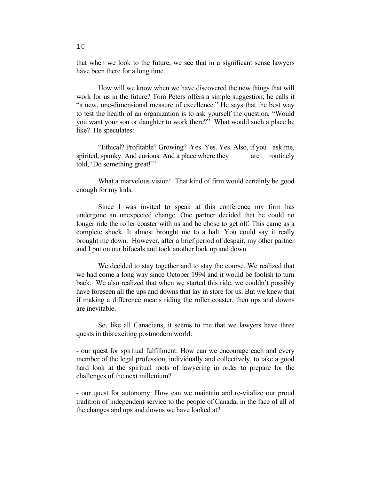that when we look to the future, we see that in a significant sense lawyers have been there for a long time.

 How will we know when we have discovered the new things that will work for us in the future? Tom Peters offers a simple suggestion; he calls it "a new, one-dimensional measure of excellence." He says that the best way to test the health of an organization is to ask yourself the question, "Would you want your son or daughter to work there?" What would such a place be like? He speculates:

 "Ethical? Profitable? Growing? Yes. Yes. Yes. Also, if you ask me, spirited, spunky. And curious. And a place where they are routinely told, 'Do something great!'"

 What a marvelous vision! That kind of firm would certainly be good enough for my kids.

 Since I was invited to speak at this conference my firm has undergone an unexpected change. One partner decided that he could no longer ride the roller coaster with us and he chose to get off. This came as a complete shock. It almost brought me to a halt. You could say it really brought me down. However, after a brief period of despair, my other partner and I put on our bifocals and took another look up and down.

 We decided to stay together and to stay the course. We realized that we had come a long way since October 1994 and it would be foolish to turn back. We also realized that when we started this ride, we couldn't possibly have foreseen all the ups and downs that lay in store for us. But we knew that if making a difference means riding the roller coaster, then ups and downs are inevitable.

 So, like all Canadians, it seems to me that we lawyers have three quests in this exciting postmodern world:

- our quest for spiritual fulfillment: How can we encourage each and every member of the legal profession, individually and collectively, to take a good hard look at the spiritual roots of lawyering in order to prepare for the challenges of the next millenium?

- our quest for autonomy: How can we maintain and re-vitalize our proud tradition of independent service to the people of Canada, in the face of all of the changes and ups and downs we have looked at?